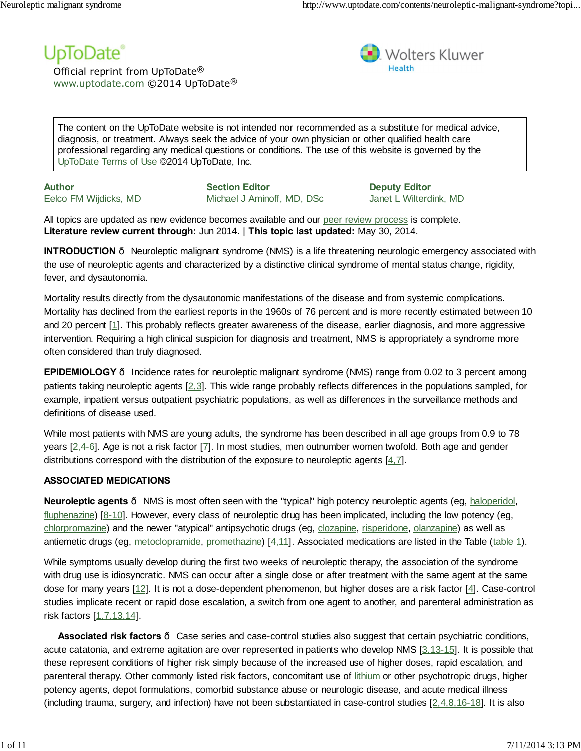# UpToDate®

Official reprint from UpToDate® www.uptodate.com ©2014 UpToDate®



The content on the UpToDate website is not intended nor recommended as a substitute for medical advice, diagnosis, or treatment. Always seek the advice of your own physician or other qualified health care professional regarding any medical questions or conditions. The use of this website is governed by the UpToDate Terms of Use ©2014 UpToDate, Inc.

**Author** Eelco FM Wijdicks, MD

**Section Editor** Michael J Aminoff, MD, DSc

**Deputy Editor** Janet L Wilterdink, MD

All topics are updated as new evidence becomes available and our peer review process is complete. **Literature review current through:** Jun 2014. | **This topic last updated:** May 30, 2014.

**INTRODUCTION** — Neuroleptic malignant syndrome (NMS) is a life threatening neurologic emergency associated with the use of neuroleptic agents and characterized by a distinctive clinical syndrome of mental status change, rigidity, fever, and dysautonomia.

Mortality results directly from the dysautonomic manifestations of the disease and from systemic complications. Mortality has declined from the earliest reports in the 1960s of 76 percent and is more recently estimated between 10 and 20 percent [1]. This probably reflects greater awareness of the disease, earlier diagnosis, and more aggressive intervention. Requiring a high clinical suspicion for diagnosis and treatment, NMS is appropriately a syndrome more often considered than truly diagnosed.

**EPIDEMIOLOGY** – Incidence rates for neuroleptic malignant syndrome (NMS) range from 0.02 to 3 percent among patients taking neuroleptic agents [2,3]. This wide range probably reflects differences in the populations sampled, for example, inpatient versus outpatient psychiatric populations, as well as differences in the surveillance methods and definitions of disease used.

While most patients with NMS are young adults, the syndrome has been described in all age groups from 0.9 to 78 years [2,4-6]. Age is not a risk factor [7]. In most studies, men outnumber women twofold. Both age and gender distributions correspond with the distribution of the exposure to neuroleptic agents  $[4,7]$ .

# **ASSOCIATED MEDICATIONS**

**Neuroleptic agents** — NMS is most often seen with the "typical" high potency neuroleptic agents (eg, haloperidol, fluphenazine) [8-10]. However, every class of neuroleptic drug has been implicated, including the low potency (eg, chlorpromazine) and the newer "atypical" antipsychotic drugs (eg, clozapine, risperidone, olanzapine) as well as antiemetic drugs (eg, metoclopramide, promethazine) [4,11]. Associated medications are listed in the Table (table 1).

While symptoms usually develop during the first two weeks of neuroleptic therapy, the association of the syndrome with drug use is idiosyncratic. NMS can occur after a single dose or after treatment with the same agent at the same dose for many years [12]. It is not a dose-dependent phenomenon, but higher doses are a risk factor [4]. Case-control studies implicate recent or rapid dose escalation, a switch from one agent to another, and parenteral administration as risk factors [1,7,13,14].

**Associated risk factors** — Case series and case-control studies also suggest that certain psychiatric conditions, acute catatonia, and extreme agitation are over represented in patients who develop NMS [3,13-15]. It is possible that these represent conditions of higher risk simply because of the increased use of higher doses, rapid escalation, and parenteral therapy. Other commonly listed risk factors, concomitant use of lithium or other psychotropic drugs, higher potency agents, depot formulations, comorbid substance abuse or neurologic disease, and acute medical illness (including trauma, surgery, and infection) have not been substantiated in case-control studies  $[2,4,8,16-18]$ . It is also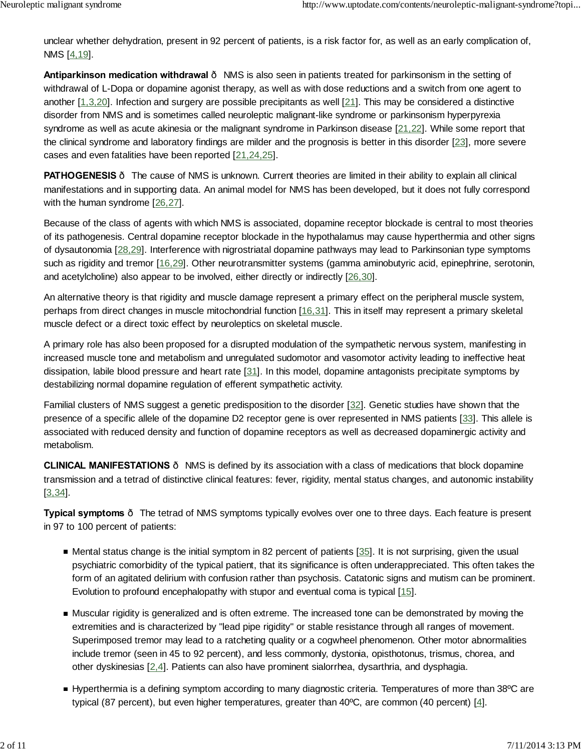unclear whether dehydration, present in 92 percent of patients, is a risk factor for, as well as an early complication of, NMS [4,19].

**Antiparkinson medication withdrawal** — NMS is also seen in patients treated for parkinsonism in the setting of withdrawal of L-Dopa or dopamine agonist therapy, as well as with dose reductions and a switch from one agent to another [1,3,20]. Infection and surgery are possible precipitants as well [21]. This may be considered a distinctive disorder from NMS and is sometimes called neuroleptic malignant-like syndrome or parkinsonism hyperpyrexia syndrome as well as acute akinesia or the malignant syndrome in Parkinson disease [21,22]. While some report that the clinical syndrome and laboratory findings are milder and the prognosis is better in this disorder [23], more severe cases and even fatalities have been reported [21,24,25].

**PATHOGENESIS** – The cause of NMS is unknown. Current theories are limited in their ability to explain all clinical manifestations and in supporting data. An animal model for NMS has been developed, but it does not fully correspond with the human syndrome [26,27].

Because of the class of agents with which NMS is associated, dopamine receptor blockade is central to most theories of its pathogenesis. Central dopamine receptor blockade in the hypothalamus may cause hyperthermia and other signs of dysautonomia [28,29]. Interference with nigrostriatal dopamine pathways may lead to Parkinsonian type symptoms such as rigidity and tremor [16,29]. Other neurotransmitter systems (gamma aminobutyric acid, epinephrine, serotonin, and acetylcholine) also appear to be involved, either directly or indirectly [26,30].

An alternative theory is that rigidity and muscle damage represent a primary effect on the peripheral muscle system, perhaps from direct changes in muscle mitochondrial function [16,31]. This in itself may represent a primary skeletal muscle defect or a direct toxic effect by neuroleptics on skeletal muscle.

A primary role has also been proposed for a disrupted modulation of the sympathetic nervous system, manifesting in increased muscle tone and metabolism and unregulated sudomotor and vasomotor activity leading to ineffective heat dissipation, labile blood pressure and heart rate [31]. In this model, dopamine antagonists precipitate symptoms by destabilizing normal dopamine regulation of efferent sympathetic activity.

Familial clusters of NMS suggest a genetic predisposition to the disorder [32]. Genetic studies have shown that the presence of a specific allele of the dopamine D2 receptor gene is over represented in NMS patients [33]. This allele is associated with reduced density and function of dopamine receptors as well as decreased dopaminergic activity and metabolism.

**CLINICAL MANIFESTATIONS** — NMS is defined by its association with a class of medications that block dopamine transmission and a tetrad of distinctive clinical features: fever, rigidity, mental status changes, and autonomic instability [3,34].

**Typical symptoms** — The tetrad of NMS symptoms typically evolves over one to three days. Each feature is present in 97 to 100 percent of patients:

- $\blacksquare$  Mental status change is the initial symptom in 82 percent of patients  $[35]$ . It is not surprising, given the usual psychiatric comorbidity of the typical patient, that its significance is often underappreciated. This often takes the form of an agitated delirium with confusion rather than psychosis. Catatonic signs and mutism can be prominent. Evolution to profound encephalopathy with stupor and eventual coma is typical [15].
- Muscular rigidity is generalized and is often extreme. The increased tone can be demonstrated by moving the extremities and is characterized by "lead pipe rigidity" or stable resistance through all ranges of movement. Superimposed tremor may lead to a ratcheting quality or a cogwheel phenomenon. Other motor abnormalities include tremor (seen in 45 to 92 percent), and less commonly, dystonia, opisthotonus, trismus, chorea, and other dyskinesias [2,4]. Patients can also have prominent sialorrhea, dysarthria, and dysphagia.
- Hyperthermia is a defining symptom according to many diagnostic criteria. Temperatures of more than 38°C are typical (87 percent), but even higher temperatures, greater than 40ºC, are common (40 percent) [4].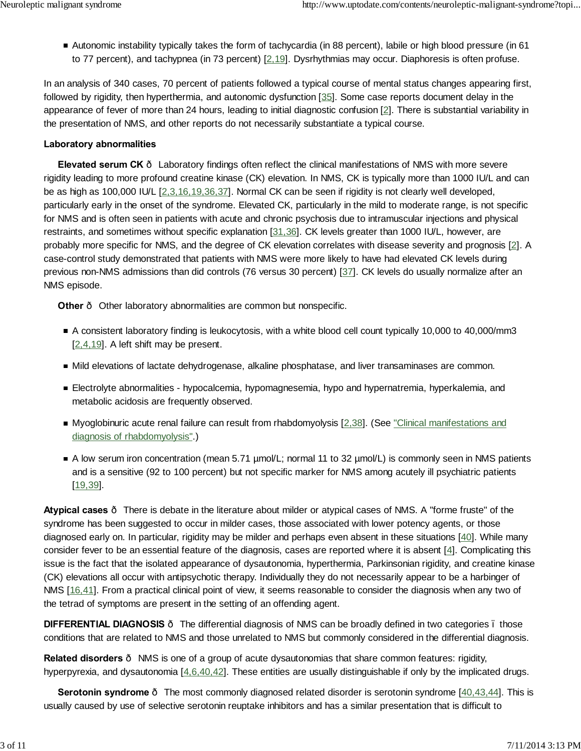Autonomic instability typically takes the form of tachycardia (in 88 percent), labile or high blood pressure (in 61 to 77 percent), and tachypnea (in 73 percent) [2,19]. Dysrhythmias may occur. Diaphoresis is often profuse.

In an analysis of 340 cases, 70 percent of patients followed a typical course of mental status changes appearing first, followed by rigidity, then hyperthermia, and autonomic dysfunction [35]. Some case reports document delay in the appearance of fever of more than 24 hours, leading to initial diagnostic confusion [2]. There is substantial variability in the presentation of NMS, and other reports do not necessarily substantiate a typical course.

### **Laboratory abnormalities**

**Elevated serum CK** — Laboratory findings often reflect the clinical manifestations of NMS with more severe rigidity leading to more profound creatine kinase (CK) elevation. In NMS, CK is typically more than 1000 IU/L and can be as high as 100,000 IU/L [2,3,16,19,36,37]. Normal CK can be seen if rigidity is not clearly well developed, particularly early in the onset of the syndrome. Elevated CK, particularly in the mild to moderate range, is not specific for NMS and is often seen in patients with acute and chronic psychosis due to intramuscular injections and physical restraints, and sometimes without specific explanation [31,36]. CK levels greater than 1000 IU/L, however, are probably more specific for NMS, and the degree of CK elevation correlates with disease severity and prognosis [2]. A case-control study demonstrated that patients with NMS were more likely to have had elevated CK levels during previous non-NMS admissions than did controls (76 versus 30 percent) [37]. CK levels do usually normalize after an NMS episode.

**Other** – Other laboratory abnormalities are common but nonspecific.

- A consistent laboratory finding is leukocytosis, with a white blood cell count typically 10,000 to 40,000/mm3  $[2,4,19]$ . A left shift may be present.
- Mild elevations of lactate dehydrogenase, alkaline phosphatase, and liver transaminases are common.
- Electrolyte abnormalities hypocalcemia, hypomagnesemia, hypo and hypernatremia, hyperkalemia, and metabolic acidosis are frequently observed.
- Myoglobinuric acute renal failure can result from rhabdomyolysis [2,38]. (See "Clinical manifestations and diagnosis of rhabdomyolysis".)
- A low serum iron concentration (mean 5.71 µmol/L; normal 11 to 32 µmol/L) is commonly seen in NMS patients and is a sensitive (92 to 100 percent) but not specific marker for NMS among acutely ill psychiatric patients [19,39].

**Atypical cases** — There is debate in the literature about milder or atypical cases of NMS. A "forme fruste" of the syndrome has been suggested to occur in milder cases, those associated with lower potency agents, or those diagnosed early on. In particular, rigidity may be milder and perhaps even absent in these situations [40]. While many consider fever to be an essential feature of the diagnosis, cases are reported where it is absent [4]. Complicating this issue is the fact that the isolated appearance of dysautonomia, hyperthermia, Parkinsonian rigidity, and creatine kinase (CK) elevations all occur with antipsychotic therapy. Individually they do not necessarily appear to be a harbinger of NMS [16,41]. From a practical clinical point of view, it seems reasonable to consider the diagnosis when any two of the tetrad of symptoms are present in the setting of an offending agent.

**DIFFERENTIAL DIAGNOSIS** — The differential diagnosis of NMS can be broadly defined in two categories – those conditions that are related to NMS and those unrelated to NMS but commonly considered in the differential diagnosis.

**Related disorders** — NMS is one of a group of acute dysautonomias that share common features: rigidity, hyperpyrexia, and dysautonomia  $[4,6,40,42]$ . These entities are usually distinguishable if only by the implicated drugs.

**Serotonin syndrome** The most commonly diagnosed related disorder is serotonin syndrome [40,43,44]. This is usually caused by use of selective serotonin reuptake inhibitors and has a similar presentation that is difficult to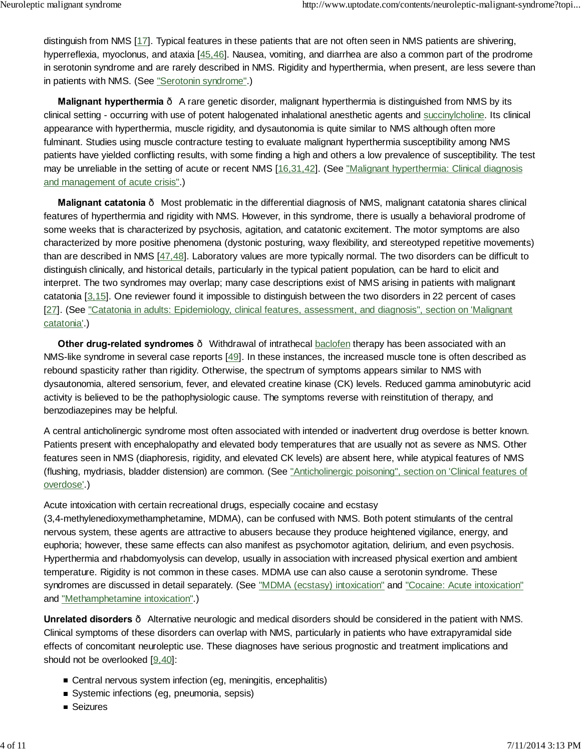distinguish from NMS [17]. Typical features in these patients that are not often seen in NMS patients are shivering, hyperreflexia, myoclonus, and ataxia [45,46]. Nausea, vomiting, and diarrhea are also a common part of the prodrome in serotonin syndrome and are rarely described in NMS. Rigidity and hyperthermia, when present, are less severe than in patients with NMS. (See "Serotonin syndrome".)

**Malignant hyperthermia**  $\cdot$  A rare genetic disorder, malignant hyperthermia is distinguished from NMS by its clinical setting - occurring with use of potent halogenated inhalational anesthetic agents and succinylcholine. Its clinical appearance with hyperthermia, muscle rigidity, and dysautonomia is quite similar to NMS although often more fulminant. Studies using muscle contracture testing to evaluate malignant hyperthermia susceptibility among NMS patients have yielded conflicting results, with some finding a high and others a low prevalence of susceptibility. The test may be unreliable in the setting of acute or recent NMS [16,31,42]. (See "Malignant hyperthermia: Clinical diagnosis and management of acute crisis".)

**Malignant catatonia** — Most problematic in the differential diagnosis of NMS, malignant catatonia shares clinical features of hyperthermia and rigidity with NMS. However, in this syndrome, there is usually a behavioral prodrome of some weeks that is characterized by psychosis, agitation, and catatonic excitement. The motor symptoms are also characterized by more positive phenomena (dystonic posturing, waxy flexibility, and stereotyped repetitive movements) than are described in NMS [47,48]. Laboratory values are more typically normal. The two disorders can be difficult to distinguish clinically, and historical details, particularly in the typical patient population, can be hard to elicit and interpret. The two syndromes may overlap; many case descriptions exist of NMS arising in patients with malignant catatonia [3,15]. One reviewer found it impossible to distinguish between the two disorders in 22 percent of cases [27]. (See "Catatonia in adults: Epidemiology, clinical features, assessment, and diagnosis", section on 'Malignant catatonia'.)

**Other drug-related syndromes** — Withdrawal of intrathecal baclofen therapy has been associated with an NMS-like syndrome in several case reports [49]. In these instances, the increased muscle tone is often described as rebound spasticity rather than rigidity. Otherwise, the spectrum of symptoms appears similar to NMS with dysautonomia, altered sensorium, fever, and elevated creatine kinase (CK) levels. Reduced gamma aminobutyric acid activity is believed to be the pathophysiologic cause. The symptoms reverse with reinstitution of therapy, and benzodiazepines may be helpful.

A central anticholinergic syndrome most often associated with intended or inadvertent drug overdose is better known. Patients present with encephalopathy and elevated body temperatures that are usually not as severe as NMS. Other features seen in NMS (diaphoresis, rigidity, and elevated CK levels) are absent here, while atypical features of NMS (flushing, mydriasis, bladder distension) are common. (See "Anticholinergic poisoning", section on 'Clinical features of overdose'.)

### Acute intoxication with certain recreational drugs, especially cocaine and ecstasy

(3,4-methylenedioxymethamphetamine, MDMA), can be confused with NMS. Both potent stimulants of the central nervous system, these agents are attractive to abusers because they produce heightened vigilance, energy, and euphoria; however, these same effects can also manifest as psychomotor agitation, delirium, and even psychosis. Hyperthermia and rhabdomyolysis can develop, usually in association with increased physical exertion and ambient temperature. Rigidity is not common in these cases. MDMA use can also cause a serotonin syndrome. These syndromes are discussed in detail separately. (See "MDMA (ecstasy) intoxication" and "Cocaine: Acute intoxication" and "Methamphetamine intoxication".)

**Unrelated disorders** — Alternative neurologic and medical disorders should be considered in the patient with NMS. Clinical symptoms of these disorders can overlap with NMS, particularly in patients who have extrapyramidal side effects of concomitant neuroleptic use. These diagnoses have serious prognostic and treatment implications and should not be overlooked [9,40]:

- Central nervous system infection (eg, meningitis, encephalitis)
- Systemic infections (eg, pneumonia, sepsis)
- Seizures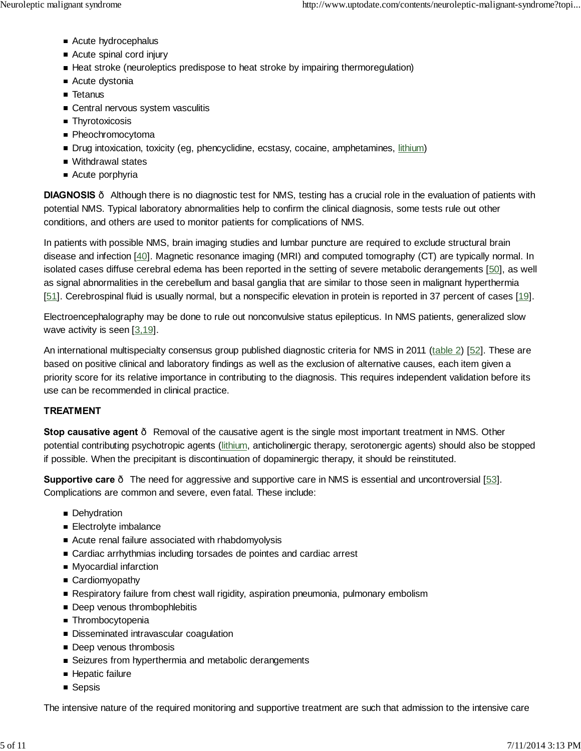- Acute hydrocephalus
- Acute spinal cord injury
- Heat stroke (neuroleptics predispose to heat stroke by impairing thermoregulation)
- Acute dystonia
- Tetanus
- Central nervous system vasculitis
- **Thyrotoxicosis**
- Pheochromocytoma
- Drug intoxication, toxicity (eg, phencyclidine, ecstasy, cocaine, amphetamines, lithium)
- Withdrawal states
- Acute porphyria

**DIAGNOSIS** — Although there is no diagnostic test for NMS, testing has a crucial role in the evaluation of patients with potential NMS. Typical laboratory abnormalities help to confirm the clinical diagnosis, some tests rule out other conditions, and others are used to monitor patients for complications of NMS.

In patients with possible NMS, brain imaging studies and lumbar puncture are required to exclude structural brain disease and infection [40]. Magnetic resonance imaging (MRI) and computed tomography (CT) are typically normal. In isolated cases diffuse cerebral edema has been reported in the setting of severe metabolic derangements [50], as well as signal abnormalities in the cerebellum and basal ganglia that are similar to those seen in malignant hyperthermia [51]. Cerebrospinal fluid is usually normal, but a nonspecific elevation in protein is reported in 37 percent of cases [19].

Electroencephalography may be done to rule out nonconvulsive status epilepticus. In NMS patients, generalized slow wave activity is seen [3,19].

An international multispecialty consensus group published diagnostic criteria for NMS in 2011 (table 2) [52]. These are based on positive clinical and laboratory findings as well as the exclusion of alternative causes, each item given a priority score for its relative importance in contributing to the diagnosis. This requires independent validation before its use can be recommended in clinical practice.

# **TREATMENT**

**Stop causative agent** – Removal of the causative agent is the single most important treatment in NMS. Other potential contributing psychotropic agents (lithium, anticholinergic therapy, serotonergic agents) should also be stopped if possible. When the precipitant is discontinuation of dopaminergic therapy, it should be reinstituted.

**Supportive care** — The need for aggressive and supportive care in NMS is essential and uncontroversial [53]. Complications are common and severe, even fatal. These include:

- **Dehydration**
- **Electrolyte imbalance**
- Acute renal failure associated with rhabdomyolysis
- Cardiac arrhythmias including torsades de pointes and cardiac arrest
- Myocardial infarction
- Cardiomyopathy
- **Respiratory failure from chest wall rigidity, aspiration pneumonia, pulmonary embolism**
- Deep venous thrombophlebitis
- **Thrombocytopenia**
- **Disseminated intravascular coagulation**
- Deep venous thrombosis
- Seizures from hyperthermia and metabolic derangements
- **Hepatic failure**
- **Sepsis**

The intensive nature of the required monitoring and supportive treatment are such that admission to the intensive care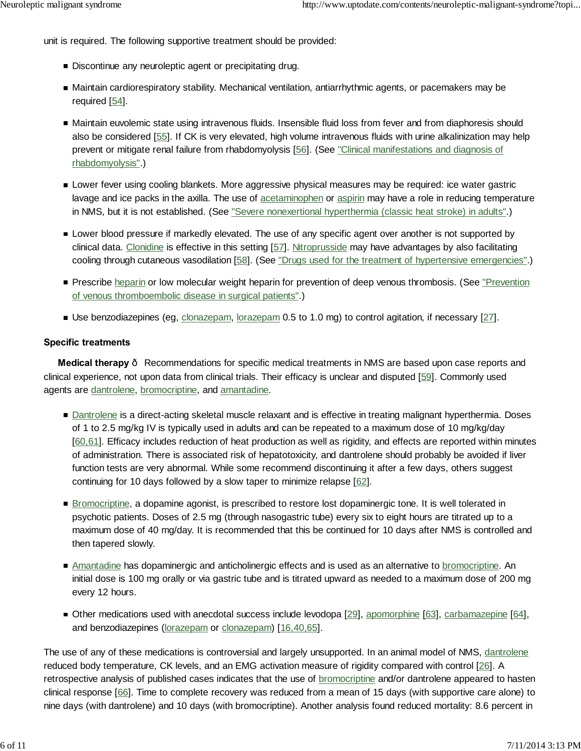unit is required. The following supportive treatment should be provided:

- Discontinue any neuroleptic agent or precipitating drug.
- Maintain cardiorespiratory stability. Mechanical ventilation, antiarrhythmic agents, or pacemakers may be required [54].
- Maintain euvolemic state using intravenous fluids. Insensible fluid loss from fever and from diaphoresis should also be considered [55]. If CK is very elevated, high volume intravenous fluids with urine alkalinization may help prevent or mitigate renal failure from rhabdomyolysis [56]. (See "Clinical manifestations and diagnosis of rhabdomyolysis".)
- Lower fever using cooling blankets. More aggressive physical measures may be required: ice water gastric lavage and ice packs in the axilla. The use of acetaminophen or aspirin may have a role in reducing temperature in NMS, but it is not established. (See "Severe nonexertional hyperthermia (classic heat stroke) in adults".)
- **Lower blood pressure if markedly elevated. The use of any specific agent over another is not supported by** clinical data. Clonidine is effective in this setting [57]. Nitroprusside may have advantages by also facilitating cooling through cutaneous vasodilation [58]. (See "Drugs used for the treatment of hypertensive emergencies".)
- **Prescribe heparin or low molecular weight heparin for prevention of deep venous thrombosis. (See "Prevention"** of venous thromboembolic disease in surgical patients".)
- Use benzodiazepines (eg, clonazepam, lorazepam 0.5 to 1.0 mg) to control agitation, if necessary [27].

### **Specific treatments**

**Medical therapy** — Recommendations for specific medical treatments in NMS are based upon case reports and clinical experience, not upon data from clinical trials. Their efficacy is unclear and disputed [59]. Commonly used agents are dantrolene, bromocriptine, and amantadine.

- Dantrolene is a direct-acting skeletal muscle relaxant and is effective in treating malignant hyperthermia. Doses of 1 to 2.5 mg/kg IV is typically used in adults and can be repeated to a maximum dose of 10 mg/kg/day [60,61]. Efficacy includes reduction of heat production as well as rigidity, and effects are reported within minutes of administration. There is associated risk of hepatotoxicity, and dantrolene should probably be avoided if liver function tests are very abnormal. While some recommend discontinuing it after a few days, others suggest continuing for 10 days followed by a slow taper to minimize relapse [62].
- **Bromocriptine, a dopamine agonist, is prescribed to restore lost dopaminergic tone. It is well tolerated in** psychotic patients. Doses of 2.5 mg (through nasogastric tube) every six to eight hours are titrated up to a maximum dose of 40 mg/day. It is recommended that this be continued for 10 days after NMS is controlled and then tapered slowly.
- Amantadine has dopaminergic and anticholinergic effects and is used as an alternative to **bromocriptine**. An initial dose is 100 mg orally or via gastric tube and is titrated upward as needed to a maximum dose of 200 mg every 12 hours.
- Other medications used with anecdotal success include levodopa [29], apomorphine [63], carbamazepine [64], and benzodiazepines (lorazepam or clonazepam) [16,40,65].

The use of any of these medications is controversial and largely unsupported. In an animal model of NMS, dantrolene reduced body temperature, CK levels, and an EMG activation measure of rigidity compared with control [26]. A retrospective analysis of published cases indicates that the use of bromocriptine and/or dantrolene appeared to hasten clinical response [66]. Time to complete recovery was reduced from a mean of 15 days (with supportive care alone) to nine days (with dantrolene) and 10 days (with bromocriptine). Another analysis found reduced mortality: 8.6 percent in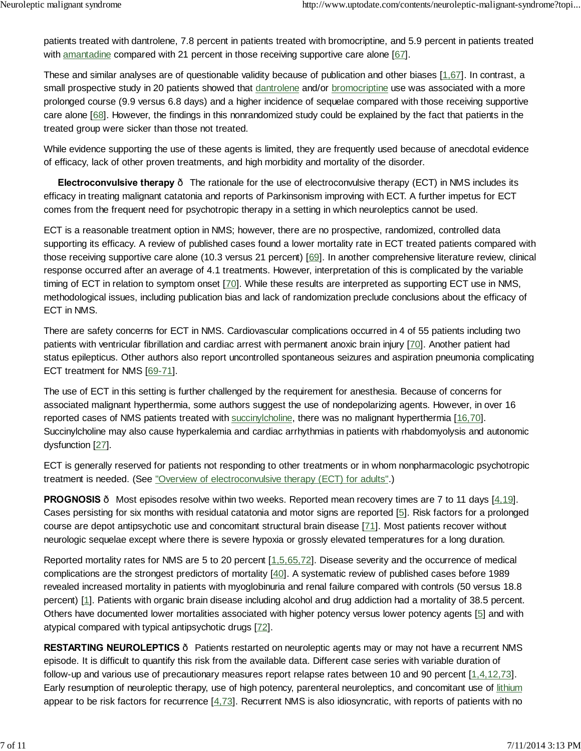patients treated with dantrolene, 7.8 percent in patients treated with bromocriptine, and 5.9 percent in patients treated with amantadine compared with 21 percent in those receiving supportive care alone [67].

These and similar analyses are of questionable validity because of publication and other biases [1,67]. In contrast, a small prospective study in 20 patients showed that dantrolene and/or bromocriptine use was associated with a more prolonged course (9.9 versus 6.8 days) and a higher incidence of sequelae compared with those receiving supportive care alone [68]. However, the findings in this nonrandomized study could be explained by the fact that patients in the treated group were sicker than those not treated.

While evidence supporting the use of these agents is limited, they are frequently used because of anecdotal evidence of efficacy, lack of other proven treatments, and high morbidity and mortality of the disorder.

**Electroconvulsive therapy** — The rationale for the use of electroconvulsive therapy (ECT) in NMS includes its efficacy in treating malignant catatonia and reports of Parkinsonism improving with ECT. A further impetus for ECT comes from the frequent need for psychotropic therapy in a setting in which neuroleptics cannot be used.

ECT is a reasonable treatment option in NMS; however, there are no prospective, randomized, controlled data supporting its efficacy. A review of published cases found a lower mortality rate in ECT treated patients compared with those receiving supportive care alone (10.3 versus 21 percent) [69]. In another comprehensive literature review, clinical response occurred after an average of 4.1 treatments. However, interpretation of this is complicated by the variable timing of ECT in relation to symptom onset [70]. While these results are interpreted as supporting ECT use in NMS, methodological issues, including publication bias and lack of randomization preclude conclusions about the efficacy of ECT in NMS.

There are safety concerns for ECT in NMS. Cardiovascular complications occurred in 4 of 55 patients including two patients with ventricular fibrillation and cardiac arrest with permanent anoxic brain injury [70]. Another patient had status epilepticus. Other authors also report uncontrolled spontaneous seizures and aspiration pneumonia complicating ECT treatment for NMS [69-71].

The use of ECT in this setting is further challenged by the requirement for anesthesia. Because of concerns for associated malignant hyperthermia, some authors suggest the use of nondepolarizing agents. However, in over 16 reported cases of NMS patients treated with succinylcholine, there was no malignant hyperthermia [16,70]. Succinylcholine may also cause hyperkalemia and cardiac arrhythmias in patients with rhabdomyolysis and autonomic dysfunction [27].

ECT is generally reserved for patients not responding to other treatments or in whom nonpharmacologic psychotropic treatment is needed. (See "Overview of electroconvulsive therapy (ECT) for adults".)

**PROGNOSIS** Most episodes resolve within two weeks. Reported mean recovery times are 7 to 11 days [4,19]. Cases persisting for six months with residual catatonia and motor signs are reported [5]. Risk factors for a prolonged course are depot antipsychotic use and concomitant structural brain disease [71]. Most patients recover without neurologic sequelae except where there is severe hypoxia or grossly elevated temperatures for a long duration.

Reported mortality rates for NMS are 5 to 20 percent [1,5,65,72]. Disease severity and the occurrence of medical complications are the strongest predictors of mortality [40]. A systematic review of published cases before 1989 revealed increased mortality in patients with myoglobinuria and renal failure compared with controls (50 versus 18.8 percent) [1]. Patients with organic brain disease including alcohol and drug addiction had a mortality of 38.5 percent. Others have documented lower mortalities associated with higher potency versus lower potency agents [5] and with atypical compared with typical antipsychotic drugs [72].

**RESTARTING NEUROLEPTICS** — Patients restarted on neuroleptic agents may or may not have a recurrent NMS episode. It is difficult to quantify this risk from the available data. Different case series with variable duration of follow-up and various use of precautionary measures report relapse rates between 10 and 90 percent [1,4,12,73]. Early resumption of neuroleptic therapy, use of high potency, parenteral neuroleptics, and concomitant use of lithium appear to be risk factors for recurrence  $[4,73]$ . Recurrent NMS is also idiosyncratic, with reports of patients with no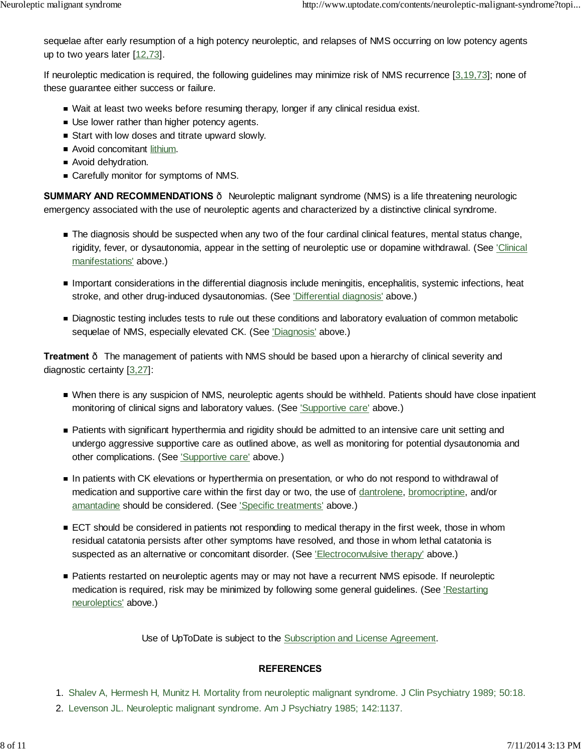sequelae after early resumption of a high potency neuroleptic, and relapses of NMS occurring on low potency agents up to two years later [12,73].

If neuroleptic medication is required, the following guidelines may minimize risk of NMS recurrence [3,19,73]; none of these guarantee either success or failure.

- Wait at least two weeks before resuming therapy, longer if any clinical residua exist.
- Use lower rather than higher potency agents.
- Start with low doses and titrate upward slowly.
- **Avoid concomitant lithium.**
- Avoid dehydration.
- Carefully monitor for symptoms of NMS.

**SUMMARY AND RECOMMENDATIONS** — Neuroleptic malignant syndrome (NMS) is a life threatening neurologic emergency associated with the use of neuroleptic agents and characterized by a distinctive clinical syndrome.

- The diagnosis should be suspected when any two of the four cardinal clinical features, mental status change, rigidity, fever, or dysautonomia, appear in the setting of neuroleptic use or dopamine withdrawal. (See 'Clinical manifestations' above.)
- Important considerations in the differential diagnosis include meningitis, encephalitis, systemic infections, heat stroke, and other drug-induced dysautonomias. (See 'Differential diagnosis' above.)
- Diagnostic testing includes tests to rule out these conditions and laboratory evaluation of common metabolic sequelae of NMS, especially elevated CK. (See 'Diagnosis' above.)

**Treatment** - The management of patients with NMS should be based upon a hierarchy of clinical severity and diagnostic certainty [3,27]:

- When there is any suspicion of NMS, neuroleptic agents should be withheld. Patients should have close inpatient monitoring of clinical signs and laboratory values. (See 'Supportive care' above.)
- Patients with significant hyperthermia and rigidity should be admitted to an intensive care unit setting and undergo aggressive supportive care as outlined above, as well as monitoring for potential dysautonomia and other complications. (See 'Supportive care' above.)
- In patients with CK elevations or hyperthermia on presentation, or who do not respond to withdrawal of medication and supportive care within the first day or two, the use of dantrolene, bromocriptine, and/or amantadine should be considered. (See 'Specific treatments' above.)
- ECT should be considered in patients not responding to medical therapy in the first week, those in whom residual catatonia persists after other symptoms have resolved, and those in whom lethal catatonia is suspected as an alternative or concomitant disorder. (See 'Electroconvulsive therapy' above.)
- Patients restarted on neuroleptic agents may or may not have a recurrent NMS episode. If neuroleptic medication is required, risk may be minimized by following some general guidelines. (See *Restarting* neuroleptics' above.)

Use of UpToDate is subject to the Subscription and License Agreement.

### **REFERENCES**

- 1. Shalev A, Hermesh H, Munitz H. Mortality from neuroleptic malignant syndrome. J Clin Psychiatry 1989; 50:18.
- 2. Levenson JL. Neuroleptic malignant syndrome. Am J Psychiatry 1985; 142:1137.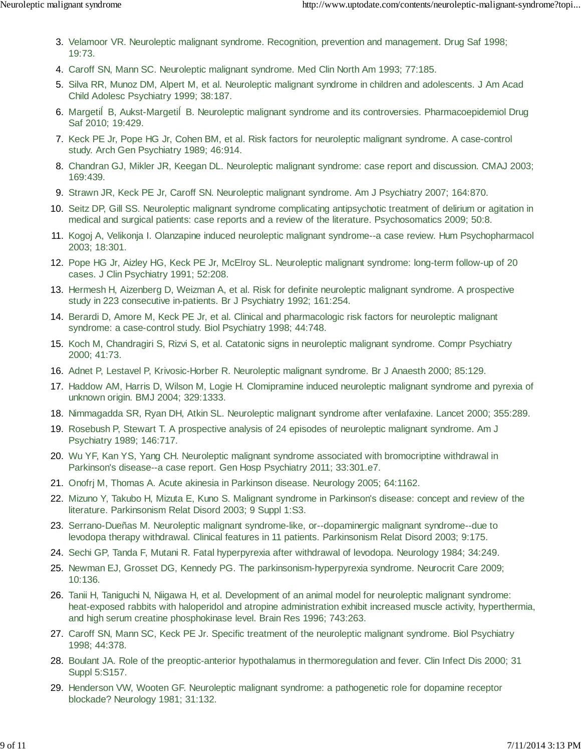- 3. Velamoor VR. Neuroleptic malignant syndrome. Recognition, prevention and management. Drug Saf 1998; 19:73.
- 4. Caroff SN, Mann SC. Neuroleptic malignant syndrome. Med Clin North Am 1993; 77:185.
- Silva RR, Munoz DM, Alpert M, et al. Neuroleptic malignant syndrome in children and adolescents. J Am Acad 5. Child Adolesc Psychiatry 1999; 38:187.
- 6. Margeti B, Aukst-Margeti B. Neuroleptic malignant syndrome and its controversies. Pharmacoepidemiol Drug Saf 2010; 19:429.
- 7. Keck PE Jr, Pope HG Jr, Cohen BM, et al. Risk factors for neuroleptic malignant syndrome. A case-control study. Arch Gen Psychiatry 1989; 46:914.
- 8. Chandran GJ, Mikler JR, Keegan DL. Neuroleptic malignant syndrome: case report and discussion. CMAJ 2003; 169:439.
- 9. Strawn JR, Keck PE Jr, Caroff SN. Neuroleptic malignant syndrome. Am J Psychiatry 2007; 164:870.
- 10. Seitz DP, Gill SS. Neuroleptic malignant syndrome complicating antipsychotic treatment of delirium or agitation in medical and surgical patients: case reports and a review of the literature. Psychosomatics 2009; 50:8.
- 11. Kogoj A, Velikonja I. Olanzapine induced neuroleptic malignant syndrome--a case review. Hum Psychopharmacol 2003; 18:301.
- 12. Pope HG Jr, Aizley HG, Keck PE Jr, McElroy SL. Neuroleptic malignant syndrome: long-term follow-up of 20 cases. J Clin Psychiatry 1991; 52:208.
- 13. Hermesh H, Aizenberg D, Weizman A, et al. Risk for definite neuroleptic malignant syndrome. A prospective study in 223 consecutive in-patients. Br J Psychiatry 1992; 161:254.
- 14. Berardi D, Amore M, Keck PE Jr, et al. Clinical and pharmacologic risk factors for neuroleptic malignant syndrome: a case-control study. Biol Psychiatry 1998; 44:748.
- 15. Koch M, Chandragiri S, Rizvi S, et al. Catatonic signs in neuroleptic malignant syndrome. Compr Psychiatry 2000; 41:73.
- 16. Adnet P, Lestavel P, Krivosic-Horber R. Neuroleptic malignant syndrome. Br J Anaesth 2000; 85:129.
- 17. Haddow AM, Harris D, Wilson M, Logie H. Clomipramine induced neuroleptic malignant syndrome and pyrexia of unknown origin. BMJ 2004; 329:1333.
- 18. Nimmagadda SR, Ryan DH, Atkin SL. Neuroleptic malignant syndrome after venlafaxine. Lancet 2000; 355:289.
- 19. Rosebush P, Stewart T. A prospective analysis of 24 episodes of neuroleptic malignant syndrome. Am J Psychiatry 1989; 146:717.
- 20. Wu YF, Kan YS, Yang CH. Neuroleptic malignant syndrome associated with bromocriptine withdrawal in Parkinson's disease--a case report. Gen Hosp Psychiatry 2011; 33:301.e7.
- 21. Onofrj M, Thomas A. Acute akinesia in Parkinson disease. Neurology 2005; 64:1162.
- 22. Mizuno Y, Takubo H, Mizuta E, Kuno S. Malignant syndrome in Parkinson's disease: concept and review of the literature. Parkinsonism Relat Disord 2003; 9 Suppl 1:S3.
- 23. Serrano-Dueñas M. Neuroleptic malignant syndrome-like, or--dopaminergic malignant syndrome--due to levodopa therapy withdrawal. Clinical features in 11 patients. Parkinsonism Relat Disord 2003; 9:175.
- 24. Sechi GP, Tanda F, Mutani R. Fatal hyperpyrexia after withdrawal of levodopa. Neurology 1984; 34:249.
- 25. Newman EJ, Grosset DG, Kennedy PG. The parkinsonism-hyperpyrexia syndrome. Neurocrit Care 2009; 10:136.
- Tanii H, Taniguchi N, Niigawa H, et al. Development of an animal model for neuroleptic malignant syndrome: 26. heat-exposed rabbits with haloperidol and atropine administration exhibit increased muscle activity, hyperthermia, and high serum creatine phosphokinase level. Brain Res 1996; 743:263.
- 27. Caroff SN, Mann SC, Keck PE Jr. Specific treatment of the neuroleptic malignant syndrome. Biol Psychiatry 1998; 44:378.
- 28. Boulant JA. Role of the preoptic-anterior hypothalamus in thermoregulation and fever. Clin Infect Dis 2000; 31 Suppl 5:S157.
- 29. Henderson VW, Wooten GF. Neuroleptic malignant syndrome: a pathogenetic role for dopamine receptor blockade? Neurology 1981; 31:132.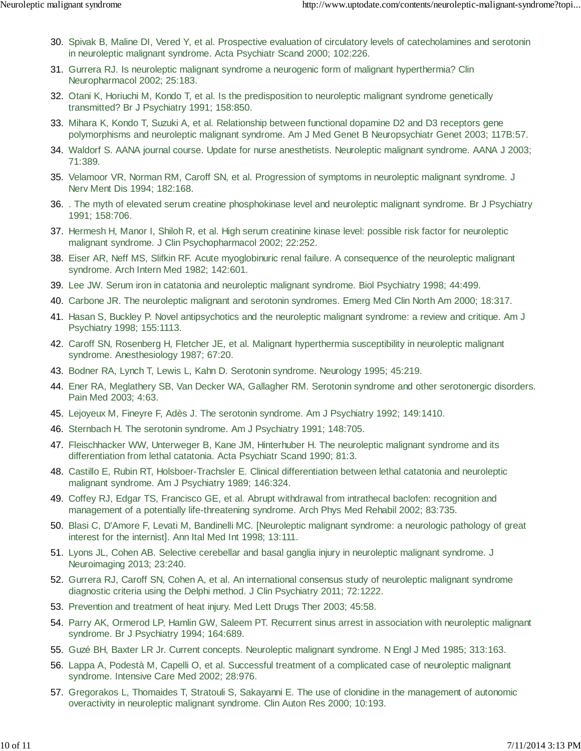- Spivak B, Maline DI, Vered Y, et al. Prospective evaluation of circulatory levels of catecholamines and serotonin 30. in neuroleptic malignant syndrome. Acta Psychiatr Scand 2000; 102:226.
- 31. Gurrera RJ. Is neuroleptic malignant syndrome a neurogenic form of malignant hyperthermia? Clin Neuropharmacol 2002; 25:183.
- 32. Otani K, Horiuchi M, Kondo T, et al. Is the predisposition to neuroleptic malignant syndrome genetically transmitted? Br J Psychiatry 1991; 158:850.
- 33. Mihara K, Kondo T, Suzuki A, et al. Relationship between functional dopamine D2 and D3 receptors gene polymorphisms and neuroleptic malignant syndrome. Am J Med Genet B Neuropsychiatr Genet 2003; 117B:57.
- Waldorf S. AANA journal course. Update for nurse anesthetists. Neuroleptic malignant syndrome. AANA J 2003; 34. 71:389.
- 35. Velamoor VR, Norman RM, Caroff SN, et al. Progression of symptoms in neuroleptic malignant syndrome. J Nerv Ment Dis 1994; 182:168.
- . The myth of elevated serum creatine phosphokinase level and neuroleptic malignant syndrome. Br J Psychiatry 36. 1991; 158:706.
- 37. Hermesh H, Manor I, Shiloh R, et al. High serum creatinine kinase level: possible risk factor for neuroleptic malignant syndrome. J Clin Psychopharmacol 2002; 22:252.
- Eiser AR, Neff MS, Slifkin RF. Acute myoglobinuric renal failure. A consequence of the neuroleptic malignant 38. syndrome. Arch Intern Med 1982; 142:601.
- 39. Lee JW. Serum iron in catatonia and neuroleptic malignant syndrome. Biol Psychiatry 1998; 44:499.
- 40. Carbone JR. The neuroleptic malignant and serotonin syndromes. Emerg Med Clin North Am 2000; 18:317.
- 41. Hasan S, Buckley P. Novel antipsychotics and the neuroleptic malignant syndrome: a review and critique. Am J Psychiatry 1998; 155:1113.
- 42. Caroff SN, Rosenberg H, Fletcher JE, et al. Malignant hyperthermia susceptibility in neuroleptic malignant syndrome. Anesthesiology 1987; 67:20.
- 43. Bodner RA, Lynch T, Lewis L, Kahn D. Serotonin syndrome. Neurology 1995; 45:219.
- Ener RA, Meglathery SB, Van Decker WA, Gallagher RM. Serotonin syndrome and other serotonergic disorders. 44. Pain Med 2003; 4:63.
- 45. Lejoyeux M, Fineyre F, Adès J. The serotonin syndrome. Am J Psychiatry 1992; 149:1410.
- 46. Sternbach H. The serotonin syndrome. Am J Psychiatry 1991; 148:705.
- Fleischhacker WW, Unterweger B, Kane JM, Hinterhuber H. The neuroleptic malignant syndrome and its 47. differentiation from lethal catatonia. Acta Psychiatr Scand 1990; 81:3.
- Castillo E, Rubin RT, Holsboer-Trachsler E. Clinical differentiation between lethal catatonia and neuroleptic 48. malignant syndrome. Am J Psychiatry 1989; 146:324.
- Coffey RJ, Edgar TS, Francisco GE, et al. Abrupt withdrawal from intrathecal baclofen: recognition and 49. management of a potentially life-threatening syndrome. Arch Phys Med Rehabil 2002; 83:735.
- 50. Blasi C, D'Amore F, Levati M, Bandinelli MC. [Neuroleptic malignant syndrome: a neurologic pathology of great interest for the internist]. Ann Ital Med Int 1998; 13:111.
- 51. Lyons JL, Cohen AB. Selective cerebellar and basal ganglia injury in neuroleptic malignant syndrome. J Neuroimaging 2013; 23:240.
- 52. Gurrera RJ, Caroff SN, Cohen A, et al. An international consensus study of neuroleptic malignant syndrome diagnostic criteria using the Delphi method. J Clin Psychiatry 2011; 72:1222.
- 53. Prevention and treatment of heat injury. Med Lett Drugs Ther 2003; 45:58.
- 54. Parry AK, Ormerod LP, Hamlin GW, Saleem PT. Recurrent sinus arrest in association with neuroleptic malignant syndrome. Br J Psychiatry 1994; 164:689.
- 55. Guzé BH, Baxter LR Jr. Current concepts. Neuroleptic malignant syndrome. N Engl J Med 1985; 313:163.
- 56. Lappa A, Podestà M, Capelli O, et al. Successful treatment of a complicated case of neuroleptic malignant syndrome. Intensive Care Med 2002; 28:976.
- 57. Gregorakos L, Thomaides T, Stratouli S, Sakayanni E. The use of clonidine in the management of autonomic overactivity in neuroleptic malignant syndrome. Clin Auton Res 2000; 10:193.